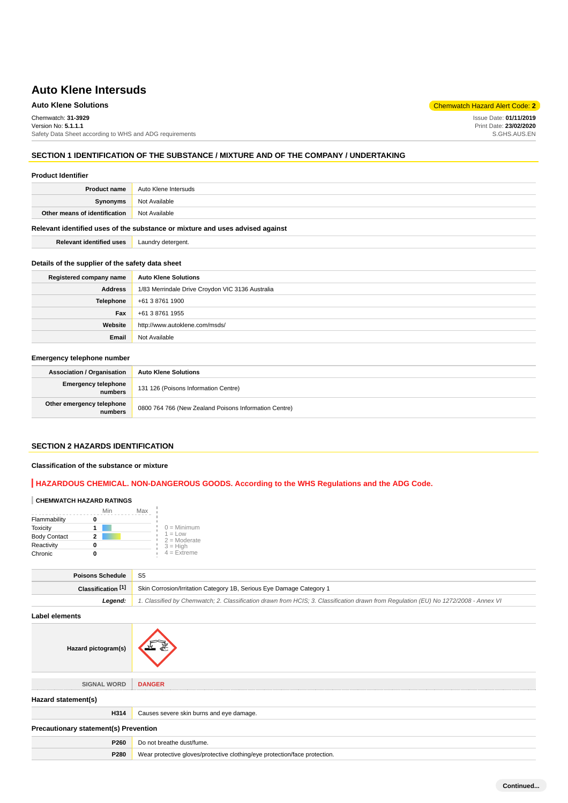# **Auto Klene Solutions** Chemwatch Hazard Alert Code: **2**

Chemwatch: **31-3929**

Version No: **5.1.1.1** Safety Data Sheet according to WHS and ADG requirements

## **SECTION 1 IDENTIFICATION OF THE SUBSTANCE / MIXTURE AND OF THE COMPANY / UNDERTAKING**

### **Product Identifier**

| <b>Product name</b>                                                           | Auto Klene Intersuds |
|-------------------------------------------------------------------------------|----------------------|
| Synonyms                                                                      | Not Available        |
| Other means of identification                                                 | Not Available        |
| Delayant identified uses of the oubstance as mivture and uses advised against |                      |

**Relevant identified uses of the substance or mixture and uses advised against**

**Relevant identified uses** Laundry detergent.

### **Details of the supplier of the safety data sheet**

| Registered company name | <b>Auto Klene Solutions</b>                      |
|-------------------------|--------------------------------------------------|
| <b>Address</b>          | 1/83 Merrindale Drive Croydon VIC 3136 Australia |
| Telephone               | +61 3 8761 1900                                  |
| Fax                     | +61 3 8761 1955                                  |
| Website                 | http://www.autoklene.com/msds/                   |
| Email                   | Not Available                                    |

## **Emergency telephone number**

| <b>Association / Organisation</b>    | <b>Auto Klene Solutions</b>                           |
|--------------------------------------|-------------------------------------------------------|
| Emergency telephone<br>numbers       | 131 126 (Poisons Information Centre)                  |
| Other emergency telephone<br>numbers | 0800 764 766 (New Zealand Poisons Information Centre) |

# **SECTION 2 HAZARDS IDENTIFICATION**

## **Classification of the substance or mixture**

**Hazard pictogram(s)**

# **HAZARDOUS CHEMICAL. NON-DANGEROUS GOODS. According to the WHS Regulations and the ADG Code.**

### **CHEMWATCH HAZARD RATINGS**

|                     | Min | Max |                             |
|---------------------|-----|-----|-----------------------------|
| Flammability        |     |     |                             |
| <b>Toxicity</b>     |     |     | $0 =$ Minimum               |
| <b>Body Contact</b> | 2   |     | $1 = Low$<br>$2 =$ Moderate |
| Reactivity          |     |     | $3 = High$                  |
| Chronic             |     |     | $4$ = Extreme               |

| Poisons Schedule   | - S5                                                                                                                                |  |
|--------------------|-------------------------------------------------------------------------------------------------------------------------------------|--|
| Classification [1] | Skin Corrosion/Irritation Category 1B, Serious Eye Damage Category 1                                                                |  |
| Leaend:            | 1. Classified by Chemwatch; 2. Classification drawn from HCIS; 3. Classification drawn from Requlation (EU) No 1272/2008 - Annex VI |  |
|                    |                                                                                                                                     |  |

**Label elements**

**SIGNAL WORD DANGER Hazard statement(s) H314** Causes severe skin burns and eye damage. **Precautionary statement(s) Prevention P260** Do not breathe dust/fume. **P280** Wear protective gloves/protective clothing/eye protection/face protection.

**Continued...**

Issue Date: **01/11/2019** Print Date: **23/02/2020** S.GHS.AUS.EN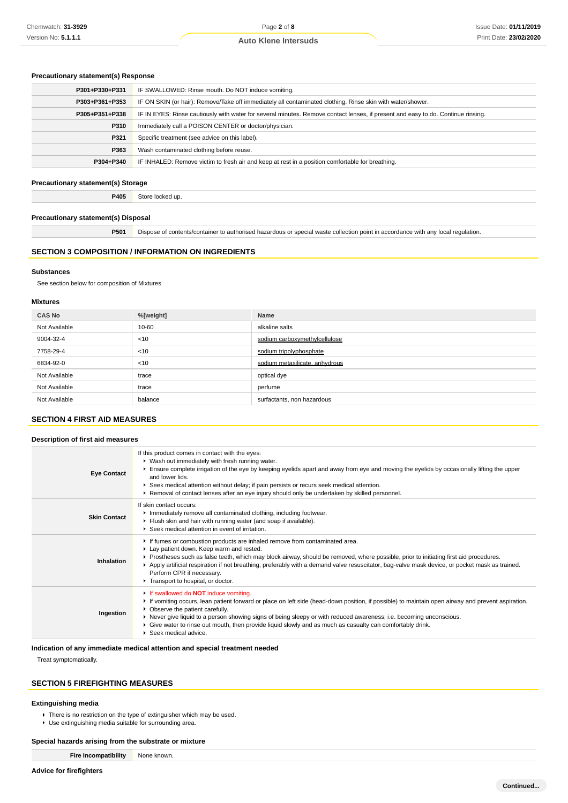## **Precautionary statement(s) Response**

| IF SWALLOWED: Rinse mouth. Do NOT induce vomiting.                                                                               |
|----------------------------------------------------------------------------------------------------------------------------------|
| IF ON SKIN (or hair): Remove/Take off immediately all contaminated clothing. Rinse skin with water/shower.                       |
| IF IN EYES: Rinse cautiously with water for several minutes. Remove contact lenses, if present and easy to do. Continue rinsing. |
| Immediately call a POISON CENTER or doctor/physician.                                                                            |
| Specific treatment (see advice on this label).                                                                                   |
| Wash contaminated clothing before reuse.                                                                                         |
| IF INHALED: Remove victim to fresh air and keep at rest in a position comfortable for breathing.                                 |
|                                                                                                                                  |

# **Precautionary statement(s) Storage**

**P405** Store locked up.

# **Precautionary statement(s) Disposal**

**P501** Dispose of contents/container to authorised hazardous or special waste collection point in accordance with any local regulation.

### **SECTION 3 COMPOSITION / INFORMATION ON INGREDIENTS**

### **Substances**

See section below for composition of Mixtures

### **Mixtures**

| <b>CAS No</b> | %[weight] | Name                           |
|---------------|-----------|--------------------------------|
| Not Available | 10-60     | alkaline salts                 |
| 9004-32-4     | $<$ 10    | sodium carboxymethylcellulose  |
| 7758-29-4     | $<$ 10    | sodium tripolyphosphate        |
| 6834-92-0     | $<$ 10    | sodium metasilicate, anhydrous |
| Not Available | trace     | optical dye                    |
| Not Available | trace     | perfume                        |
| Not Available | balance   | surfactants, non hazardous     |

# **SECTION 4 FIRST AID MEASURES**

## **Description of first aid measures**

| <b>Eye Contact</b>  | If this product comes in contact with the eyes:<br>▶ Wash out immediately with fresh running water.<br>Ensure complete irrigation of the eye by keeping eyelids apart and away from eye and moving the eyelids by occasionally lifting the upper<br>and lower lids.<br>▶ Seek medical attention without delay; if pain persists or recurs seek medical attention.<br>Removal of contact lenses after an eye injury should only be undertaken by skilled personnel.                               |
|---------------------|--------------------------------------------------------------------------------------------------------------------------------------------------------------------------------------------------------------------------------------------------------------------------------------------------------------------------------------------------------------------------------------------------------------------------------------------------------------------------------------------------|
| <b>Skin Contact</b> | If skin contact occurs:<br>Immediately remove all contaminated clothing, including footwear.<br>Fiush skin and hair with running water (and soap if available).<br>▶ Seek medical attention in event of irritation.                                                                                                                                                                                                                                                                              |
| Inhalation          | If fumes or combustion products are inhaled remove from contaminated area.<br>Lay patient down. Keep warm and rested.<br>▶ Prostheses such as false teeth, which may block airway, should be removed, where possible, prior to initiating first aid procedures.<br>▶ Apply artificial respiration if not breathing, preferably with a demand valve resuscitator, bag-valve mask device, or pocket mask as trained.<br>Perform CPR if necessary.<br>Transport to hospital, or doctor.             |
| Ingestion           | If swallowed do <b>NOT</b> induce vomiting.<br>If vomiting occurs, lean patient forward or place on left side (head-down position, if possible) to maintain open airway and prevent aspiration.<br>• Observe the patient carefully.<br>▶ Never give liquid to a person showing signs of being sleepy or with reduced awareness; i.e. becoming unconscious.<br>► Give water to rinse out mouth, then provide liquid slowly and as much as casualty can comfortably drink.<br>Seek medical advice. |

## **Indication of any immediate medical attention and special treatment needed**

Treat symptomatically.

# **SECTION 5 FIREFIGHTING MEASURES**

## **Extinguishing media**

▶ There is no restriction on the type of extinguisher which may be used.

Use extinguishing media suitable for surrounding area.

## **Special hazards arising from the substrate or mixture**

**Fire Incompatibility** None known.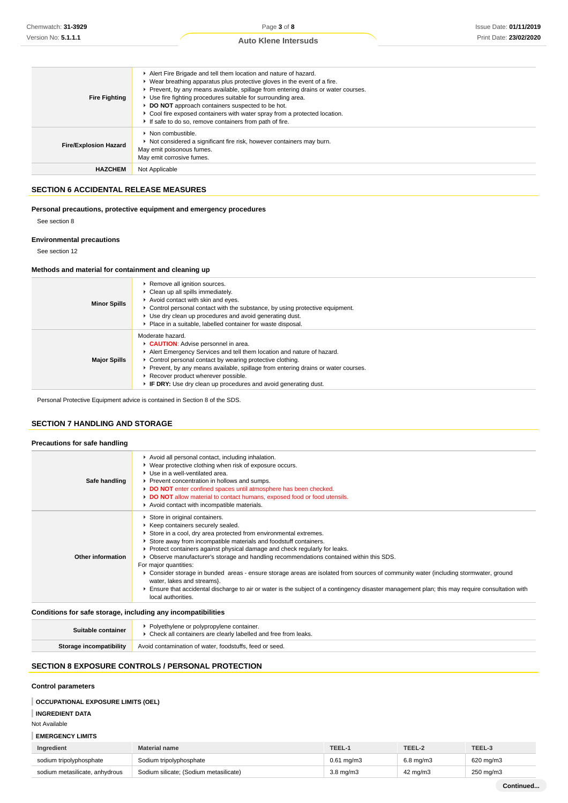| <b>Fire Fighting</b>         | Alert Fire Brigade and tell them location and nature of hazard.<br>► Wear breathing apparatus plus protective gloves in the event of a fire.<br>▶ Prevent, by any means available, spillage from entering drains or water courses.<br>▶ Use fire fighting procedures suitable for surrounding area.<br>DO NOT approach containers suspected to be hot.<br>• Cool fire exposed containers with water spray from a protected location.<br>If safe to do so, remove containers from path of fire. |
|------------------------------|------------------------------------------------------------------------------------------------------------------------------------------------------------------------------------------------------------------------------------------------------------------------------------------------------------------------------------------------------------------------------------------------------------------------------------------------------------------------------------------------|
| <b>Fire/Explosion Hazard</b> | $\blacktriangleright$ Non combustible.<br>Not considered a significant fire risk, however containers may burn.<br>May emit poisonous fumes.<br>May emit corrosive fumes.                                                                                                                                                                                                                                                                                                                       |
| <b>HAZCHEM</b>               | Not Applicable                                                                                                                                                                                                                                                                                                                                                                                                                                                                                 |

## **SECTION 6 ACCIDENTAL RELEASE MEASURES**

# **Personal precautions, protective equipment and emergency procedures**

See section 8

## **Environmental precautions**

See section 12

### **Methods and material for containment and cleaning up**

| <b>Minor Spills</b> | Remove all ignition sources.<br>Clean up all spills immediately.<br>Avoid contact with skin and eyes.<br>• Control personal contact with the substance, by using protective equipment.<br>▶ Use dry clean up procedures and avoid generating dust.<br>Place in a suitable, labelled container for waste disposal.                                                                           |
|---------------------|---------------------------------------------------------------------------------------------------------------------------------------------------------------------------------------------------------------------------------------------------------------------------------------------------------------------------------------------------------------------------------------------|
| <b>Major Spills</b> | Moderate hazard.<br>CAUTION: Advise personnel in area.<br>Alert Emergency Services and tell them location and nature of hazard.<br>• Control personal contact by wearing protective clothing.<br>Prevent, by any means available, spillage from entering drains or water courses.<br>Recover product wherever possible.<br>F IF DRY: Use dry clean up procedures and avoid generating dust. |

Personal Protective Equipment advice is contained in Section 8 of the SDS.

# **SECTION 7 HANDLING AND STORAGE**

# **Precautions for safe handling**

| Safe handling     | Avoid all personal contact, including inhalation.<br>▶ Wear protective clothing when risk of exposure occurs.<br>▶ Use in a well-ventilated area.<br>▶ Prevent concentration in hollows and sumps.<br>DO NOT enter confined spaces until atmosphere has been checked.<br>DO NOT allow material to contact humans, exposed food or food utensils.<br>Avoid contact with incompatible materials.                                                                                                                                                                                                                                                                                                                                                             |
|-------------------|------------------------------------------------------------------------------------------------------------------------------------------------------------------------------------------------------------------------------------------------------------------------------------------------------------------------------------------------------------------------------------------------------------------------------------------------------------------------------------------------------------------------------------------------------------------------------------------------------------------------------------------------------------------------------------------------------------------------------------------------------------|
| Other information | Store in original containers.<br>▶ Keep containers securely sealed.<br>Store in a cool, dry area protected from environmental extremes.<br>Store away from incompatible materials and foodstuff containers.<br>▶ Protect containers against physical damage and check regularly for leaks.<br>Observe manufacturer's storage and handling recommendations contained within this SDS.<br>For major quantities:<br>▶ Consider storage in bunded areas - ensure storage areas are isolated from sources of community water (including stormwater, ground<br>water, lakes and streams}.<br>Ensure that accidental discharge to air or water is the subject of a contingency disaster management plan; this may require consultation with<br>local authorities. |
|                   |                                                                                                                                                                                                                                                                                                                                                                                                                                                                                                                                                                                                                                                                                                                                                            |

## **Conditions for safe storage, including any incompatibilities**

| Suitable container      | Polyethylene or polypropylene container.<br>▶ Check all containers are clearly labelled and free from leaks. |
|-------------------------|--------------------------------------------------------------------------------------------------------------|
| Storage incompatibility | Avoid contamination of water, foodstuffs, feed or seed.                                                      |

# **SECTION 8 EXPOSURE CONTROLS / PERSONAL PROTECTION**

## **Control parameters**

# **OCCUPATIONAL EXPOSURE LIMITS (OEL)**

# **INGREDIENT DATA**

Not Available

| Ingredient                     | Material name                          | TEEL-1                | TEEL-2            | TEEL-3    |
|--------------------------------|----------------------------------------|-----------------------|-------------------|-----------|
| sodium tripolyphosphate        | Sodium tripolyphosphate                | $0.61 \text{ ma/m}$ 3 | $6.8$ ma/m $3$    | 620 mg/m3 |
| sodium metasilicate, anhydrous | Sodium silicate; (Sodium metasilicate) | $3.8 \text{ mg/m}$    | $42 \text{ mg/m}$ | 250 mg/m3 |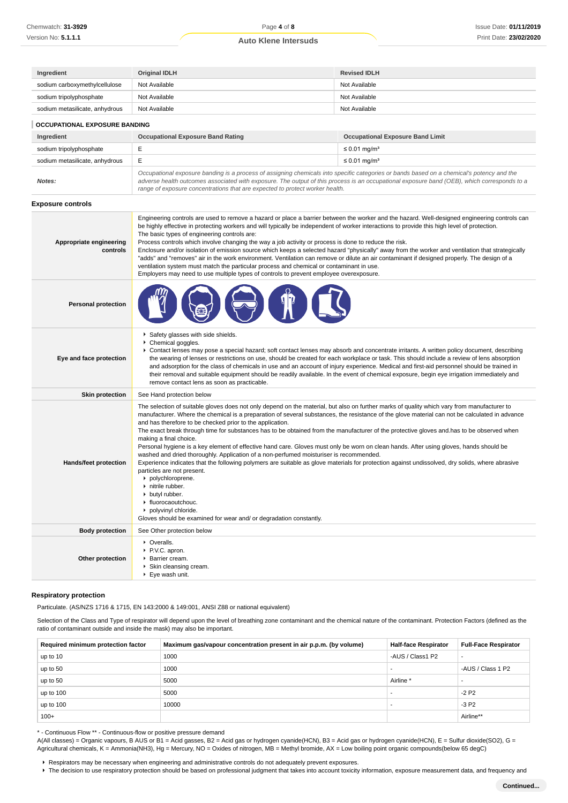**Ingredient Original IDLH Revised IDLH** sodium carboxymethylcellulose Not Available Not Available Not Available Not Available

| sodium tripolyphosphate             | Not Available<br>Not Available                                                                                                                                                                                                                                                                                                                                                                                                                                                                                                                                                                                                                                                                                                                                                                                                                                                                                                                                                                                                                                                                                                       |                                         |  |
|-------------------------------------|--------------------------------------------------------------------------------------------------------------------------------------------------------------------------------------------------------------------------------------------------------------------------------------------------------------------------------------------------------------------------------------------------------------------------------------------------------------------------------------------------------------------------------------------------------------------------------------------------------------------------------------------------------------------------------------------------------------------------------------------------------------------------------------------------------------------------------------------------------------------------------------------------------------------------------------------------------------------------------------------------------------------------------------------------------------------------------------------------------------------------------------|-----------------------------------------|--|
| sodium metasilicate, anhydrous      | Not Available                                                                                                                                                                                                                                                                                                                                                                                                                                                                                                                                                                                                                                                                                                                                                                                                                                                                                                                                                                                                                                                                                                                        | Not Available                           |  |
| OCCUPATIONAL EXPOSURE BANDING       |                                                                                                                                                                                                                                                                                                                                                                                                                                                                                                                                                                                                                                                                                                                                                                                                                                                                                                                                                                                                                                                                                                                                      |                                         |  |
| Ingredient                          | <b>Occupational Exposure Band Rating</b>                                                                                                                                                                                                                                                                                                                                                                                                                                                                                                                                                                                                                                                                                                                                                                                                                                                                                                                                                                                                                                                                                             | <b>Occupational Exposure Band Limit</b> |  |
| sodium tripolyphosphate             | E                                                                                                                                                                                                                                                                                                                                                                                                                                                                                                                                                                                                                                                                                                                                                                                                                                                                                                                                                                                                                                                                                                                                    | $\leq$ 0.01 mg/m <sup>3</sup>           |  |
| sodium metasilicate, anhydrous      | Е                                                                                                                                                                                                                                                                                                                                                                                                                                                                                                                                                                                                                                                                                                                                                                                                                                                                                                                                                                                                                                                                                                                                    | $\leq$ 0.01 mg/m <sup>3</sup>           |  |
| Notes:                              | Occupational exposure banding is a process of assigning chemicals into specific categories or bands based on a chemical's potency and the<br>adverse health outcomes associated with exposure. The output of this process is an occupational exposure band (OEB), which corresponds to a<br>range of exposure concentrations that are expected to protect worker health.                                                                                                                                                                                                                                                                                                                                                                                                                                                                                                                                                                                                                                                                                                                                                             |                                         |  |
| <b>Exposure controls</b>            |                                                                                                                                                                                                                                                                                                                                                                                                                                                                                                                                                                                                                                                                                                                                                                                                                                                                                                                                                                                                                                                                                                                                      |                                         |  |
| Appropriate engineering<br>controls | Engineering controls are used to remove a hazard or place a barrier between the worker and the hazard. Well-designed engineering controls can<br>be highly effective in protecting workers and will typically be independent of worker interactions to provide this high level of protection.<br>The basic types of engineering controls are:<br>Process controls which involve changing the way a job activity or process is done to reduce the risk.<br>Enclosure and/or isolation of emission source which keeps a selected hazard "physically" away from the worker and ventilation that strategically<br>"adds" and "removes" air in the work environment. Ventilation can remove or dilute an air contaminant if designed properly. The design of a<br>ventilation system must match the particular process and chemical or contaminant in use.<br>Employers may need to use multiple types of controls to prevent employee overexposure.                                                                                                                                                                                      |                                         |  |
| <b>Personal protection</b>          |                                                                                                                                                                                                                                                                                                                                                                                                                                                                                                                                                                                                                                                                                                                                                                                                                                                                                                                                                                                                                                                                                                                                      |                                         |  |
| Eye and face protection             | Safety glasses with side shields.<br>Chemical goggles.<br>▶ Contact lenses may pose a special hazard; soft contact lenses may absorb and concentrate irritants. A written policy document, describing<br>the wearing of lenses or restrictions on use, should be created for each workplace or task. This should include a review of lens absorption<br>and adsorption for the class of chemicals in use and an account of injury experience. Medical and first-aid personnel should be trained in<br>their removal and suitable equipment should be readily available. In the event of chemical exposure, begin eye irrigation immediately and<br>remove contact lens as soon as practicable.                                                                                                                                                                                                                                                                                                                                                                                                                                       |                                         |  |
| <b>Skin protection</b>              | See Hand protection below                                                                                                                                                                                                                                                                                                                                                                                                                                                                                                                                                                                                                                                                                                                                                                                                                                                                                                                                                                                                                                                                                                            |                                         |  |
| Hands/feet protection               | The selection of suitable gloves does not only depend on the material, but also on further marks of quality which vary from manufacturer to<br>manufacturer. Where the chemical is a preparation of several substances, the resistance of the glove material can not be calculated in advance<br>and has therefore to be checked prior to the application.<br>The exact break through time for substances has to be obtained from the manufacturer of the protective gloves and has to be observed when<br>making a final choice.<br>Personal hygiene is a key element of effective hand care. Gloves must only be worn on clean hands. After using gloves, hands should be<br>washed and dried thoroughly. Application of a non-perfumed moisturiser is recommended.<br>Experience indicates that the following polymers are suitable as glove materials for protection against undissolved, dry solids, where abrasive<br>particles are not present.<br>polychloroprene.<br>nitrile rubber.<br>• butyl rubber.<br>• fluorocaoutchouc.<br>polyvinyl chloride.<br>Gloves should be examined for wear and/ or degradation constantly. |                                         |  |
| <b>Body protection</b>              | See Other protection below                                                                                                                                                                                                                                                                                                                                                                                                                                                                                                                                                                                                                                                                                                                                                                                                                                                                                                                                                                                                                                                                                                           |                                         |  |
| Other protection                    | • Overalls.<br>P.V.C. apron.<br>▶ Barrier cream.<br>▶ Skin cleansing cream.<br>Eye wash unit.                                                                                                                                                                                                                                                                                                                                                                                                                                                                                                                                                                                                                                                                                                                                                                                                                                                                                                                                                                                                                                        |                                         |  |

### **Respiratory protection**

Particulate. (AS/NZS 1716 & 1715, EN 143:2000 & 149:001, ANSI Z88 or national equivalent)

Selection of the Class and Type of respirator will depend upon the level of breathing zone contaminant and the chemical nature of the contaminant. Protection Factors (defined as the ratio of contaminant outside and inside the mask) may also be important.

| Required minimum protection factor | Maximum gas/vapour concentration present in air p.p.m. (by volume) | <b>Half-face Respirator</b> | <b>Full-Face Respirator</b> |
|------------------------------------|--------------------------------------------------------------------|-----------------------------|-----------------------------|
| up to 10                           | 1000                                                               | -AUS / Class1 P2            |                             |
| up to 50                           | 1000                                                               |                             | -AUS / Class 1 P2           |
| up to 50                           | 5000                                                               | Airline <sup>*</sup>        |                             |
| up to 100                          | 5000                                                               |                             | $-2P2$                      |
| up to $100$                        | 10000                                                              |                             | $-3P2$                      |
| $100+$                             |                                                                    |                             | Airline**                   |

\* - Continuous Flow \*\* - Continuous-flow or positive pressure demand

A(All classes) = Organic vapours, B AUS or B1 = Acid gasses, B2 = Acid gas or hydrogen cyanide(HCN), B3 = Acid gas or hydrogen cyanide(HCN), E = Sulfur dioxide(SO2), G = Agricultural chemicals, K = Ammonia(NH3), Hg = Mercury, NO = Oxides of nitrogen, MB = Methyl bromide, AX = Low boiling point organic compounds(below 65 degC)

Respirators may be necessary when engineering and administrative controls do not adequately prevent exposures.

The decision to use respiratory protection should be based on professional judgment that takes into account toxicity information, exposure measurement data, and frequency and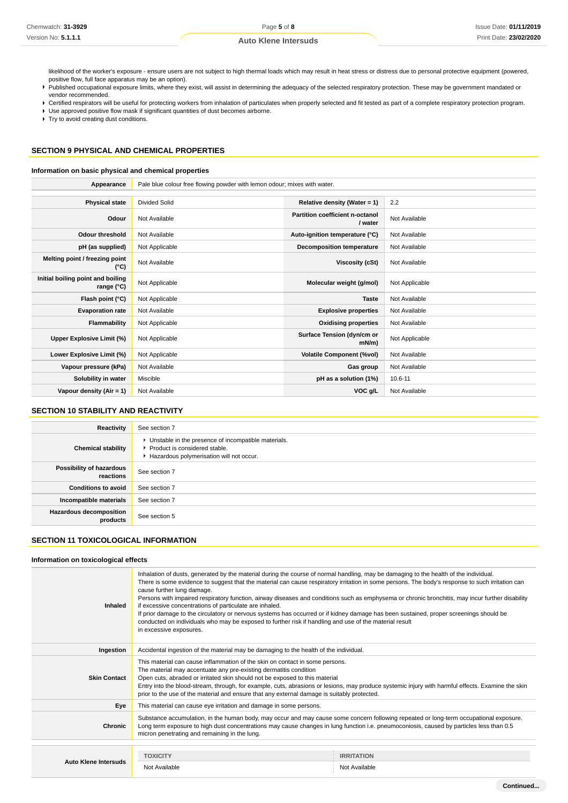**Continued...**

# **Auto Klene Intersuds**

likelihood of the worker's exposure - ensure users are not subject to high thermal loads which may result in heat stress or distress due to personal protective equipment (powered, positive flow, full face apparatus may be an option).

- Published occupational exposure limits, where they exist, will assist in determining the adequacy of the selected respiratory protection. These may be government mandated or vendor recommended.
- ▶ Certified respirators will be useful for protecting workers from inhalation of particulates when properly selected and fit tested as part of a complete respiratory protection program.
- Use approved positive flow mask if significant quantities of dust becomes airborne.

 $\blacktriangleright$  Try to avoid creating dust conditions.

# **SECTION 9 PHYSICAL AND CHEMICAL PROPERTIES**

## **Information on basic physical and chemical properties**

| Appearance                                      | Pale blue colour free flowing powder with lemon odour; mixes with water. |                                            |                |
|-------------------------------------------------|--------------------------------------------------------------------------|--------------------------------------------|----------------|
|                                                 |                                                                          |                                            |                |
| <b>Physical state</b>                           | <b>Divided Solid</b>                                                     | Relative density (Water = 1)               | 2.2            |
| Odour                                           | Not Available                                                            | Partition coefficient n-octanol<br>/ water | Not Available  |
| <b>Odour threshold</b>                          | Not Available                                                            | Auto-ignition temperature (°C)             | Not Available  |
| pH (as supplied)                                | Not Applicable                                                           | Decomposition temperature                  | Not Available  |
| Melting point / freezing point<br>(°C)          | Not Available                                                            | Viscosity (cSt)                            | Not Available  |
| Initial boiling point and boiling<br>range (°C) | Not Applicable                                                           | Molecular weight (g/mol)                   | Not Applicable |
| Flash point (°C)                                | Not Applicable                                                           | <b>Taste</b>                               | Not Available  |
| <b>Evaporation rate</b>                         | Not Available                                                            | <b>Explosive properties</b>                | Not Available  |
| Flammability                                    | Not Applicable                                                           | <b>Oxidising properties</b>                | Not Available  |
| Upper Explosive Limit (%)                       | Not Applicable                                                           | Surface Tension (dyn/cm or<br>$mN/m$ )     | Not Applicable |
| Lower Explosive Limit (%)                       | Not Applicable                                                           | <b>Volatile Component (%vol)</b>           | Not Available  |
| Vapour pressure (kPa)                           | Not Available                                                            | Gas group                                  | Not Available  |
| Solubility in water                             | Miscible                                                                 | pH as a solution (1%)                      | $10.6 - 11$    |
| Vapour density $(Air = 1)$                      | Not Available                                                            | VOC g/L                                    | Not Available  |

## **SECTION 10 STABILITY AND REACTIVITY**

| Reactivity                                 | See section 7                                                                                                                        |
|--------------------------------------------|--------------------------------------------------------------------------------------------------------------------------------------|
| <b>Chemical stability</b>                  | • Unstable in the presence of incompatible materials.<br>▶ Product is considered stable.<br>Hazardous polymerisation will not occur. |
| Possibility of hazardous<br>reactions      | See section 7                                                                                                                        |
| <b>Conditions to avoid</b>                 | See section 7                                                                                                                        |
| Incompatible materials                     | See section 7                                                                                                                        |
| <b>Hazardous decomposition</b><br>products | See section 5                                                                                                                        |

## **SECTION 11 TOXICOLOGICAL INFORMATION**

### **Information on toxicological effects**

| Inhaled                     | Inhalation of dusts, generated by the material during the course of normal handling, may be damaging to the health of the individual.<br>There is some evidence to suggest that the material can cause respiratory irritation in some persons. The body's response to such irritation can<br>cause further lung damage.<br>Persons with impaired respiratory function, airway diseases and conditions such as emphysema or chronic bronchitis, may incur further disability<br>if excessive concentrations of particulate are inhaled.<br>If prior damage to the circulatory or nervous systems has occurred or if kidney damage has been sustained, proper screenings should be<br>conducted on individuals who may be exposed to further risk if handling and use of the material result<br>in excessive exposures. |                                    |  |
|-----------------------------|-----------------------------------------------------------------------------------------------------------------------------------------------------------------------------------------------------------------------------------------------------------------------------------------------------------------------------------------------------------------------------------------------------------------------------------------------------------------------------------------------------------------------------------------------------------------------------------------------------------------------------------------------------------------------------------------------------------------------------------------------------------------------------------------------------------------------|------------------------------------|--|
| Ingestion                   | Accidental ingestion of the material may be damaging to the health of the individual.                                                                                                                                                                                                                                                                                                                                                                                                                                                                                                                                                                                                                                                                                                                                 |                                    |  |
| <b>Skin Contact</b>         | This material can cause inflammation of the skin on contact in some persons.<br>The material may accentuate any pre-existing dermatitis condition<br>Open cuts, abraded or irritated skin should not be exposed to this material<br>Entry into the blood-stream, through, for example, cuts, abrasions or lesions, may produce systemic injury with harmful effects. Examine the skin<br>prior to the use of the material and ensure that any external damage is suitably protected.                                                                                                                                                                                                                                                                                                                                  |                                    |  |
| Eye                         | This material can cause eye irritation and damage in some persons.                                                                                                                                                                                                                                                                                                                                                                                                                                                                                                                                                                                                                                                                                                                                                    |                                    |  |
| <b>Chronic</b>              | Substance accumulation, in the human body, may occur and may cause some concern following repeated or long-term occupational exposure.<br>Long term exposure to high dust concentrations may cause changes in lung function i.e. pneumoconiosis, caused by particles less than 0.5<br>micron penetrating and remaining in the lung.                                                                                                                                                                                                                                                                                                                                                                                                                                                                                   |                                    |  |
| <b>Auto Klene Intersuds</b> | <b>TOXICITY</b><br>Not Available                                                                                                                                                                                                                                                                                                                                                                                                                                                                                                                                                                                                                                                                                                                                                                                      | <b>IRRITATION</b><br>Not Available |  |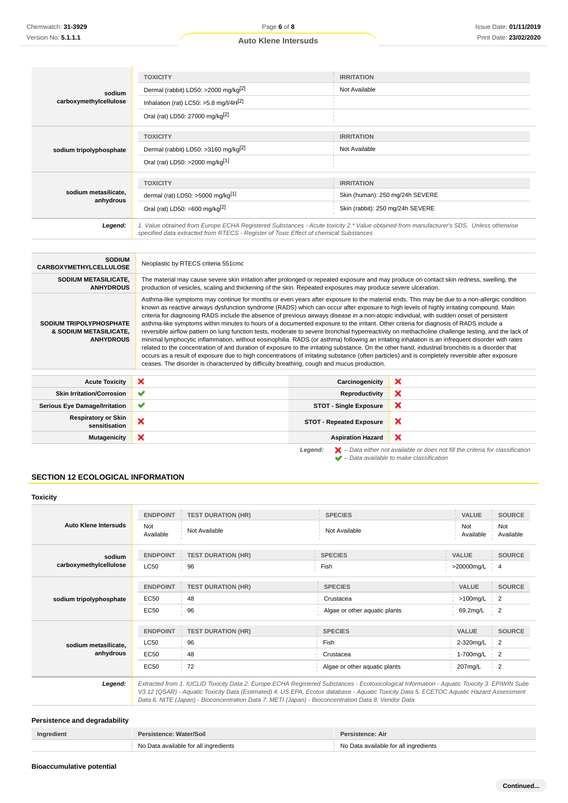|                                   | <b>TOXICITY</b>                                                                       | <b>IRRITATION</b>                                                                                                                      |
|-----------------------------------|---------------------------------------------------------------------------------------|----------------------------------------------------------------------------------------------------------------------------------------|
| sodium                            | Dermal (rabbit) LD50: >2000 mg/kg <sup>[2]</sup>                                      | Not Available                                                                                                                          |
| carboxymethylcellulose            | Inhalation (rat) LC50: $>5.8$ mg/l/4H $^{[2]}$                                        |                                                                                                                                        |
|                                   | Oral (rat) LD50: 27000 mg/kg <sup>[2]</sup>                                           |                                                                                                                                        |
|                                   | <b>TOXICITY</b>                                                                       | <b>IRRITATION</b>                                                                                                                      |
|                                   | Dermal (rabbit) LD50: >3160 mg/kg <sup>[2]</sup>                                      | Not Available                                                                                                                          |
| sodium tripolyphosphate           |                                                                                       |                                                                                                                                        |
|                                   | Oral (rat) LD50: >2000 mg/kg[1]                                                       |                                                                                                                                        |
|                                   |                                                                                       |                                                                                                                                        |
|                                   | <b>TOXICITY</b>                                                                       | <b>IRRITATION</b>                                                                                                                      |
| sodium metasilicate,<br>anhydrous | dermal (rat) LD50: >5000 mg/kg[1]                                                     | Skin (human): 250 mg/24h SEVERE                                                                                                        |
|                                   | Oral (rat) LD50: =600 mg/kg <sup>[2]</sup>                                            | Skin (rabbit): 250 mg/24h SEVERE                                                                                                       |
| Legend:                           | specified data extracted from RTECS - Register of Toxic Effect of chemical Substances | 1. Value obtained from Europe ECHA Registered Substances - Acute toxicity 2.* Value obtained from manufacturer's SDS. Unless otherwise |

| <b>SODIUM</b><br><b>CARBOXYMETHYLCELLULOSE</b>                        | Neoplastic by RTECS criteria 551cmc                                                                                                                                                                                                                                                                                                                                                                                                                                                                                                                                                                                                                                                                                                                                                                                                                                                                                                                                                                                                                                                                                                                                                                                                                                                         |                                 |   |
|-----------------------------------------------------------------------|---------------------------------------------------------------------------------------------------------------------------------------------------------------------------------------------------------------------------------------------------------------------------------------------------------------------------------------------------------------------------------------------------------------------------------------------------------------------------------------------------------------------------------------------------------------------------------------------------------------------------------------------------------------------------------------------------------------------------------------------------------------------------------------------------------------------------------------------------------------------------------------------------------------------------------------------------------------------------------------------------------------------------------------------------------------------------------------------------------------------------------------------------------------------------------------------------------------------------------------------------------------------------------------------|---------------------------------|---|
| SODIUM METASILICATE,<br><b>ANHYDROUS</b>                              | The material may cause severe skin irritation after prolonged or repeated exposure and may produce on contact skin redness, swelling, the<br>production of vesicles, scaling and thickening of the skin. Repeated exposures may produce severe ulceration.                                                                                                                                                                                                                                                                                                                                                                                                                                                                                                                                                                                                                                                                                                                                                                                                                                                                                                                                                                                                                                  |                                 |   |
| SODIUM TRIPOLYPHOSPHATE<br>& SODIUM METASILICATE,<br><b>ANHYDROUS</b> | Asthma-like symptoms may continue for months or even years after exposure to the material ends. This may be due to a non-allergic condition<br>known as reactive airways dysfunction syndrome (RADS) which can occur after exposure to high levels of highly irritating compound. Main<br>criteria for diagnosing RADS include the absence of previous airways disease in a non-atopic individual, with sudden onset of persistent<br>asthma-like symptoms within minutes to hours of a documented exposure to the irritant. Other criteria for diagnosis of RADS include a<br>reversible airflow pattern on lung function tests, moderate to severe bronchial hyperreactivity on methacholine challenge testing, and the lack of<br>minimal lymphocytic inflammation, without eosinophilia. RADS (or asthma) following an irritating inhalation is an infrequent disorder with rates<br>related to the concentration of and duration of exposure to the irritating substance. On the other hand, industrial bronchitis is a disorder that<br>occurs as a result of exposure due to high concentrations of irritating substance (often particles) and is completely reversible after exposure<br>ceases. The disorder is characterized by difficulty breathing, cough and mucus production. |                                 |   |
| <b>Acute Toxicity</b>                                                 | ×                                                                                                                                                                                                                                                                                                                                                                                                                                                                                                                                                                                                                                                                                                                                                                                                                                                                                                                                                                                                                                                                                                                                                                                                                                                                                           | Carcinogenicity                 | × |
| <b>Skin Irritation/Corrosion</b>                                      | ✔                                                                                                                                                                                                                                                                                                                                                                                                                                                                                                                                                                                                                                                                                                                                                                                                                                                                                                                                                                                                                                                                                                                                                                                                                                                                                           | Reproductivity                  | × |
| <b>Serious Eye Damage/Irritation</b>                                  | ✔                                                                                                                                                                                                                                                                                                                                                                                                                                                                                                                                                                                                                                                                                                                                                                                                                                                                                                                                                                                                                                                                                                                                                                                                                                                                                           | <b>STOT - Single Exposure</b>   | × |
| <b>Respiratory or Skin</b><br>sensitisation                           | ×                                                                                                                                                                                                                                                                                                                                                                                                                                                                                                                                                                                                                                                                                                                                                                                                                                                                                                                                                                                                                                                                                                                                                                                                                                                                                           | <b>STOT - Repeated Exposure</b> | × |
| <b>Mutagenicity</b>                                                   | ×                                                                                                                                                                                                                                                                                                                                                                                                                                                                                                                                                                                                                                                                                                                                                                                                                                                                                                                                                                                                                                                                                                                                                                                                                                                                                           | <b>Aspiration Hazard</b>        | × |

**Legend:**  $\mathbf{X}$  – Data either not available or does not fill the criteria for classification – Data available to make classification

# **SECTION 12 ECOLOGICAL INFORMATION**

| Toxicity                |                  |                                                                                                                                                                                                                                                                                                                                                                                                 |                               |                  |                  |
|-------------------------|------------------|-------------------------------------------------------------------------------------------------------------------------------------------------------------------------------------------------------------------------------------------------------------------------------------------------------------------------------------------------------------------------------------------------|-------------------------------|------------------|------------------|
|                         | <b>ENDPOINT</b>  | <b>TEST DURATION (HR)</b>                                                                                                                                                                                                                                                                                                                                                                       | <b>SPECIES</b>                | <b>VALUE</b>     | <b>SOURCE</b>    |
| Auto Klene Intersuds    | Not<br>Available | Not Available                                                                                                                                                                                                                                                                                                                                                                                   | Not Available                 | Not<br>Available | Not<br>Available |
| sodium                  | <b>ENDPOINT</b>  | <b>TEST DURATION (HR)</b>                                                                                                                                                                                                                                                                                                                                                                       | <b>SPECIES</b>                | VALUE            | <b>SOURCE</b>    |
| carboxymethylcellulose  | <b>LC50</b>      | 96                                                                                                                                                                                                                                                                                                                                                                                              | Fish                          | >20000mg/L       | 4                |
|                         | <b>ENDPOINT</b>  | <b>TEST DURATION (HR)</b>                                                                                                                                                                                                                                                                                                                                                                       | <b>SPECIES</b>                | VALUE            | <b>SOURCE</b>    |
| sodium tripolyphosphate | EC50             | 48                                                                                                                                                                                                                                                                                                                                                                                              | Crustacea                     | $>100$ mg/L      | 2                |
|                         | <b>EC50</b>      | 96                                                                                                                                                                                                                                                                                                                                                                                              | Algae or other aquatic plants | 69.2mg/L         | 2                |
|                         | <b>ENDPOINT</b>  | <b>TEST DURATION (HR)</b>                                                                                                                                                                                                                                                                                                                                                                       | <b>SPECIES</b>                | VALUE            | <b>SOURCE</b>    |
| sodium metasilicate.    | <b>LC50</b>      | 96                                                                                                                                                                                                                                                                                                                                                                                              | Fish                          | 2-320mg/L        | 2                |
| anhydrous               | EC50             | 48                                                                                                                                                                                                                                                                                                                                                                                              | Crustacea                     | 1-700mg/L        | $\overline{2}$   |
|                         | <b>EC50</b>      | 72                                                                                                                                                                                                                                                                                                                                                                                              | Algae or other aquatic plants | 207mg/L          | 2                |
| Legend:                 |                  | Extracted from 1. IUCLID Toxicity Data 2. Europe ECHA Registered Substances - Ecotoxicological Information - Aquatic Toxicity 3. EPIWIN Suite<br>V3.12 (QSAR) - Aquatic Toxicity Data (Estimated) 4. US EPA, Ecotox database - Aquatic Toxicity Data 5. ECETOC Aquatic Hazard Assessment<br>Data 6. NITE (Japan) - Bioconcentration Data 7. METI (Japan) - Bioconcentration Data 8. Vendor Data |                               |                  |                  |

# **Persistence and degradability**

| Ingredient | Persistence: Water/Soil               | Persistence: Air                      |
|------------|---------------------------------------|---------------------------------------|
|            | No Data available for all ingredients | No Data available for all ingredients |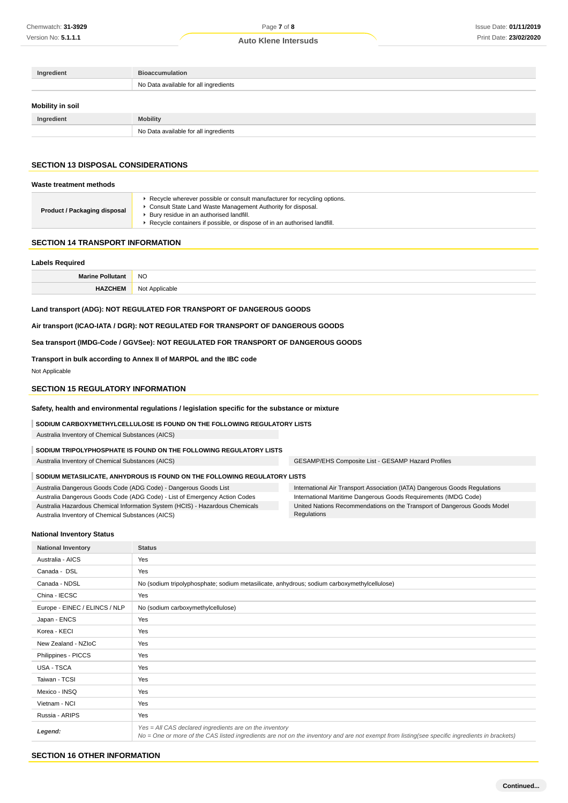| Ingredient       | <b>Bioaccumulation</b>                |
|------------------|---------------------------------------|
|                  | No Data available for all ingredients |
| Mobility in soil |                                       |
| Ingredient       | <b>Mobility</b>                       |
|                  |                                       |

# **SECTION 13 DISPOSAL CONSIDERATIONS**

## **Waste treatment methods**

| Product / Packaging disposal<br>Bury residue in an authorised landfill.<br>Recycle containers if possible, or dispose of in an authorised landfill. |  | Recycle wherever possible or consult manufacturer for recycling options.<br>Consult State Land Waste Management Authority for disposal. |
|-----------------------------------------------------------------------------------------------------------------------------------------------------|--|-----------------------------------------------------------------------------------------------------------------------------------------|
|-----------------------------------------------------------------------------------------------------------------------------------------------------|--|-----------------------------------------------------------------------------------------------------------------------------------------|

### **SECTION 14 TRANSPORT INFORMATION**

### **Labels Required**

| <b>Marine</b>  | <b>NO</b>                     |
|----------------|-------------------------------|
| <b>HAZCHEM</b> | Annlicable<br><b>NUL</b><br>. |

### **Land transport (ADG): NOT REGULATED FOR TRANSPORT OF DANGEROUS GOODS**

**Air transport (ICAO-IATA / DGR): NOT REGULATED FOR TRANSPORT OF DANGEROUS GOODS**

## **Sea transport (IMDG-Code / GGVSee): NOT REGULATED FOR TRANSPORT OF DANGEROUS GOODS**

**Transport in bulk according to Annex II of MARPOL and the IBC code**

Not Applicable

## **SECTION 15 REGULATORY INFORMATION**

**Safety, health and environmental regulations / legislation specific for the substance or mixture**

**SODIUM CARBOXYMETHYLCELLULOSE IS FOUND ON THE FOLLOWING REGULATORY LISTS**

Australia Inventory of Chemical Substances (AICS)

**SODIUM TRIPOLYPHOSPHATE IS FOUND ON THE FOLLOWING REGULATORY LISTS**

Australia Inventory of Chemical Substances (AICS) GESAMP/EHS Composite List - GESAMP Hazard Profiles

### **SODIUM METASILICATE, ANHYDROUS IS FOUND ON THE FOLLOWING REGULATORY LISTS**

Australia Dangerous Goods Code (ADG Code) - Dangerous Goods List Australia Dangerous Goods Code (ADG Code) - List of Emergency Action Codes

Australia Hazardous Chemical Information System (HCIS) - Hazardous Chemicals Australia Inventory of Chemical Substances (AICS)

International Air Transport Association (IATA) Dangerous Goods Regulations

International Maritime Dangerous Goods Requirements (IMDG Code) United Nations Recommendations on the Transport of Dangerous Goods Model Regulations

## **National Inventory Status**

| <b>National Inventory</b>     | <b>Status</b>                                                                                                                                                                                            |  |  |  |
|-------------------------------|----------------------------------------------------------------------------------------------------------------------------------------------------------------------------------------------------------|--|--|--|
| Australia - AICS              | Yes                                                                                                                                                                                                      |  |  |  |
| Canada - DSL                  | Yes                                                                                                                                                                                                      |  |  |  |
| Canada - NDSL                 | No (sodium tripolyphosphate; sodium metasilicate, anhydrous; sodium carboxymethylcellulose)                                                                                                              |  |  |  |
| China - IECSC                 | Yes                                                                                                                                                                                                      |  |  |  |
| Europe - EINEC / ELINCS / NLP | No (sodium carboxymethylcellulose)                                                                                                                                                                       |  |  |  |
| Japan - ENCS                  | Yes                                                                                                                                                                                                      |  |  |  |
| Korea - KECI                  | Yes                                                                                                                                                                                                      |  |  |  |
| New Zealand - NZIoC           | Yes                                                                                                                                                                                                      |  |  |  |
| Philippines - PICCS           | Yes                                                                                                                                                                                                      |  |  |  |
| <b>USA - TSCA</b>             | Yes                                                                                                                                                                                                      |  |  |  |
| Taiwan - TCSI                 | Yes                                                                                                                                                                                                      |  |  |  |
| Mexico - INSQ                 | Yes                                                                                                                                                                                                      |  |  |  |
| Vietnam - NCI                 | Yes                                                                                                                                                                                                      |  |  |  |
| Russia - ARIPS                | Yes                                                                                                                                                                                                      |  |  |  |
| Legend:                       | Yes = All CAS declared ingredients are on the inventory<br>No = One or more of the CAS listed ingredients are not on the inventory and are not exempt from listing(see specific ingredients in brackets) |  |  |  |